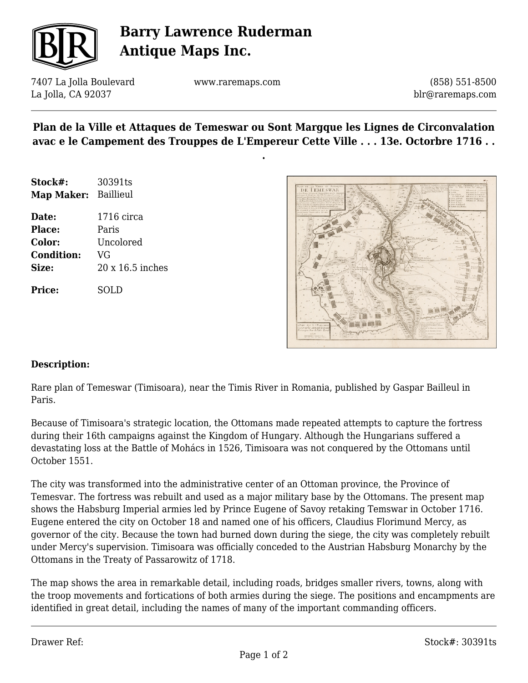

# **Barry Lawrence Ruderman Antique Maps Inc.**

7407 La Jolla Boulevard La Jolla, CA 92037

www.raremaps.com

(858) 551-8500 blr@raremaps.com

### **Plan de la Ville et Attaques de Temeswar ou Sont Margque les Lignes de Circonvalation avac e le Campement des Trouppes de L'Empereur Cette Ville . . . 13e. Octorbre 1716 . .**

**.**

| Stock#:                     | 30391ts          |
|-----------------------------|------------------|
| <b>Map Maker:</b> Baillieul |                  |
| Date:                       | $1716$ circa     |
| Place:                      | Paris            |
| Color:                      | Uncolored        |
| <b>Condition:</b>           | VG               |
| Size:                       | 20 x 16.5 inches |
|                             |                  |

**Price:** SOLD



#### **Description:**

Rare plan of Temeswar (Timisoara), near the Timis River in Romania, published by Gaspar Bailleul in Paris.

Because of Timisoara's strategic location, the Ottomans made repeated attempts to capture the fortress during their 16th campaigns against the Kingdom of Hungary. Although the Hungarians suffered a devastating loss at the Battle of Mohács in 1526, Timisoara was not conquered by the Ottomans until October 1551.

The city was transformed into the administrative center of an Ottoman province, the Province of Temesvar. The fortress was rebuilt and used as a major military base by the Ottomans. The present map shows the Habsburg Imperial armies led by Prince Eugene of Savoy retaking Temswar in October 1716. Eugene entered the city on October 18 and named one of his officers, Claudius Florimund Mercy, as governor of the city. Because the town had burned down during the siege, the city was completely rebuilt under Mercy's supervision. Timisoara was officially conceded to the Austrian Habsburg Monarchy by the Ottomans in the Treaty of Passarowitz of 1718.

The map shows the area in remarkable detail, including roads, bridges smaller rivers, towns, along with the troop movements and fortications of both armies during the siege. The positions and encampments are identified in great detail, including the names of many of the important commanding officers.